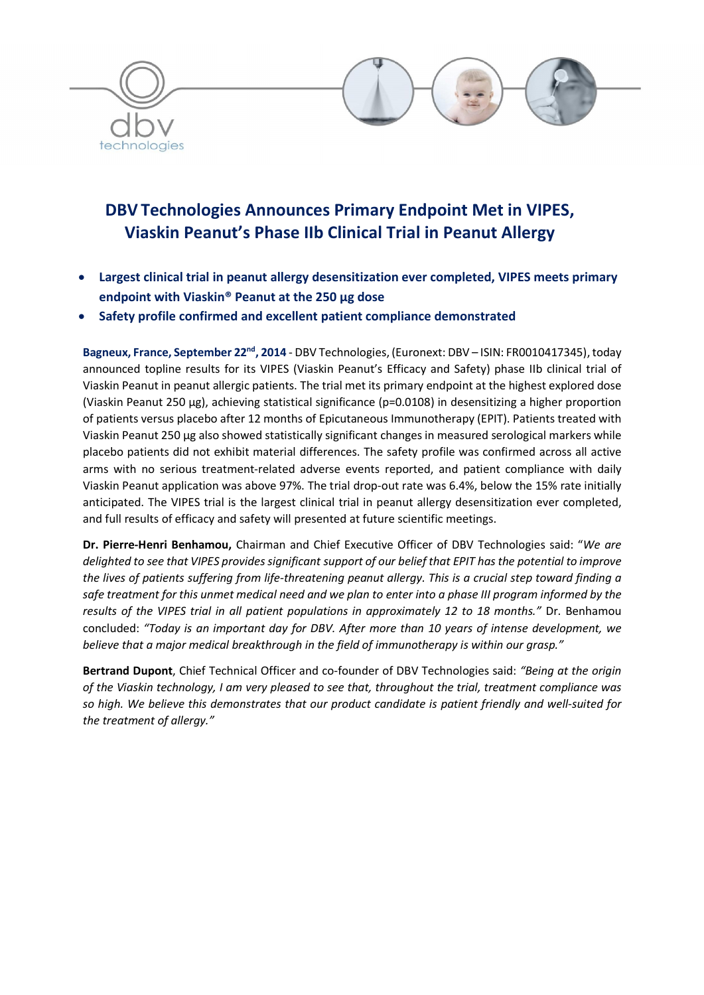

# DBV Technologies Announces Primary Endpoint Met in VIPES, Viaskin Peanut's Phase IIb Clinical Trial in Peanut Allergy

- Largest clinical trial in peanut allergy desensitization ever completed, VIPES meets primary endpoint with Viaskin® Peanut at the 250 µg dose
- Safety profile confirmed and excellent patient compliance demonstrated

Bagneux, France, September 22nd, 2014 - DBV Technologies, (Euronext: DBV – ISIN: FR0010417345), today announced topline results for its VIPES (Viaskin Peanut's Efficacy and Safety) phase IIb clinical trial of Viaskin Peanut in peanut allergic patients. The trial met its primary endpoint at the highest explored dose (Viaskin Peanut 250 µg), achieving statistical significance (p=0.0108) in desensitizing a higher proportion of patients versus placebo after 12 months of Epicutaneous Immunotherapy (EPIT). Patients treated with Viaskin Peanut 250 µg also showed statistically significant changes in measured serological markers while placebo patients did not exhibit material differences. The safety profile was confirmed across all active arms with no serious treatment-related adverse events reported, and patient compliance with daily Viaskin Peanut application was above 97%. The trial drop-out rate was 6.4%, below the 15% rate initially anticipated. The VIPES trial is the largest clinical trial in peanut allergy desensitization ever completed, and full results of efficacy and safety will presented at future scientific meetings.

Dr. Pierre-Henri Benhamou, Chairman and Chief Executive Officer of DBV Technologies said: "*We are delighted to see that VIPES provides significant support of our belief that EPIT has the potential to improve the lives of patients suffering from life-threatening peanut allergy. This is a crucial step toward finding a safe treatment for this unmet medical need and we plan to enter into a phase III program informed by the results of the VIPES trial in all patient populations in approximately 12 to 18 months."* Dr. Benhamou concluded: *"Today is an important day for DBV. After more than 10 years of intense development, we believe that a major medical breakthrough in the field of immunotherapy is within our grasp."* 

Bertrand Dupont, Chief Technical Officer and co-founder of DBV Technologies said: *"Being at the origin of the Viaskin technology, I am very pleased to see that, throughout the trial, treatment compliance was so high. We believe this demonstrates that our product candidate is patient friendly and well-suited for the treatment of allergy."*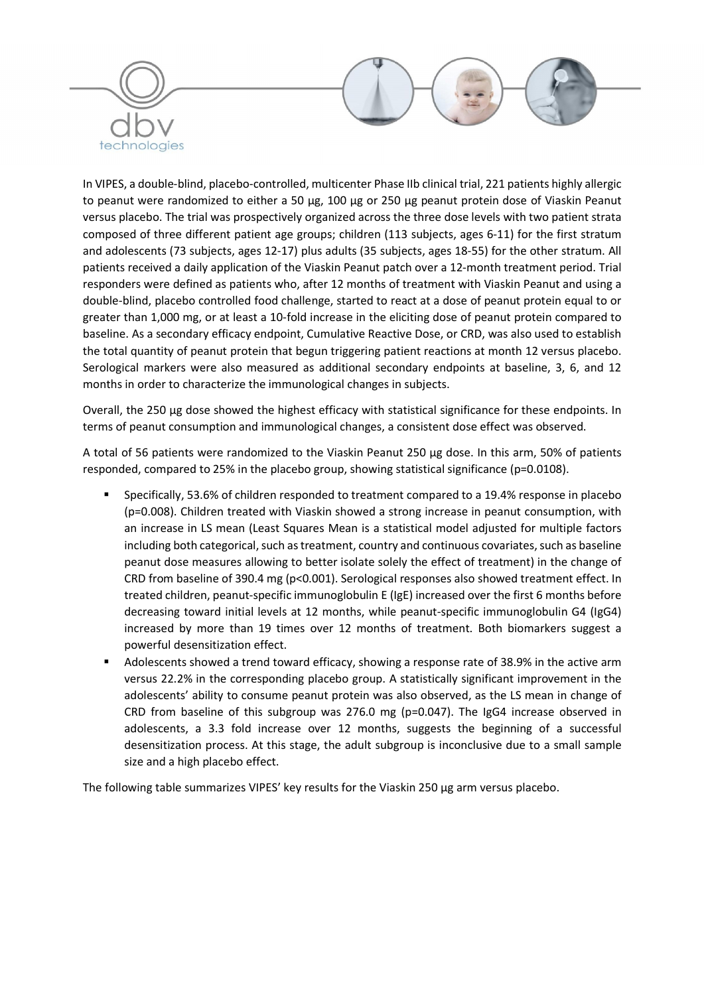

In VIPES, a double-blind, placebo-controlled, multicenter Phase IIb clinical trial, 221 patients highly allergic to peanut were randomized to either a 50 µg, 100 µg or 250 µg peanut protein dose of Viaskin Peanut versus placebo. The trial was prospectively organized across the three dose levels with two patient strata composed of three different patient age groups; children (113 subjects, ages 6-11) for the first stratum and adolescents (73 subjects, ages 12-17) plus adults (35 subjects, ages 18-55) for the other stratum. All patients received a daily application of the Viaskin Peanut patch over a 12-month treatment period. Trial responders were defined as patients who, after 12 months of treatment with Viaskin Peanut and using a double-blind, placebo controlled food challenge, started to react at a dose of peanut protein equal to or greater than 1,000 mg, or at least a 10-fold increase in the eliciting dose of peanut protein compared to baseline. As a secondary efficacy endpoint, Cumulative Reactive Dose, or CRD, was also used to establish the total quantity of peanut protein that begun triggering patient reactions at month 12 versus placebo. Serological markers were also measured as additional secondary endpoints at baseline, 3, 6, and 12 months in order to characterize the immunological changes in subjects.

Overall, the 250 µg dose showed the highest efficacy with statistical significance for these endpoints. In terms of peanut consumption and immunological changes, a consistent dose effect was observed.

A total of 56 patients were randomized to the Viaskin Peanut 250 µg dose. In this arm, 50% of patients responded, compared to 25% in the placebo group, showing statistical significance (p=0.0108).

- Specifically, 53.6% of children responded to treatment compared to a 19.4% response in placebo (p=0.008). Children treated with Viaskin showed a strong increase in peanut consumption, with an increase in LS mean (Least Squares Mean is a statistical model adjusted for multiple factors including both categorical, such as treatment, country and continuous covariates, such as baseline peanut dose measures allowing to better isolate solely the effect of treatment) in the change of CRD from baseline of 390.4 mg (p<0.001). Serological responses also showed treatment effect. In treated children, peanut-specific immunoglobulin E (IgE) increased over the first 6 months before decreasing toward initial levels at 12 months, while peanut-specific immunoglobulin G4 (IgG4) increased by more than 19 times over 12 months of treatment. Both biomarkers suggest a powerful desensitization effect.
- Adolescents showed a trend toward efficacy, showing a response rate of 38.9% in the active arm versus 22.2% in the corresponding placebo group. A statistically significant improvement in the adolescents' ability to consume peanut protein was also observed, as the LS mean in change of CRD from baseline of this subgroup was 276.0 mg ( $p=0.047$ ). The IgG4 increase observed in adolescents, a 3.3 fold increase over 12 months, suggests the beginning of a successful desensitization process. At this stage, the adult subgroup is inconclusive due to a small sample size and a high placebo effect.

The following table summarizes VIPES' key results for the Viaskin 250 µg arm versus placebo.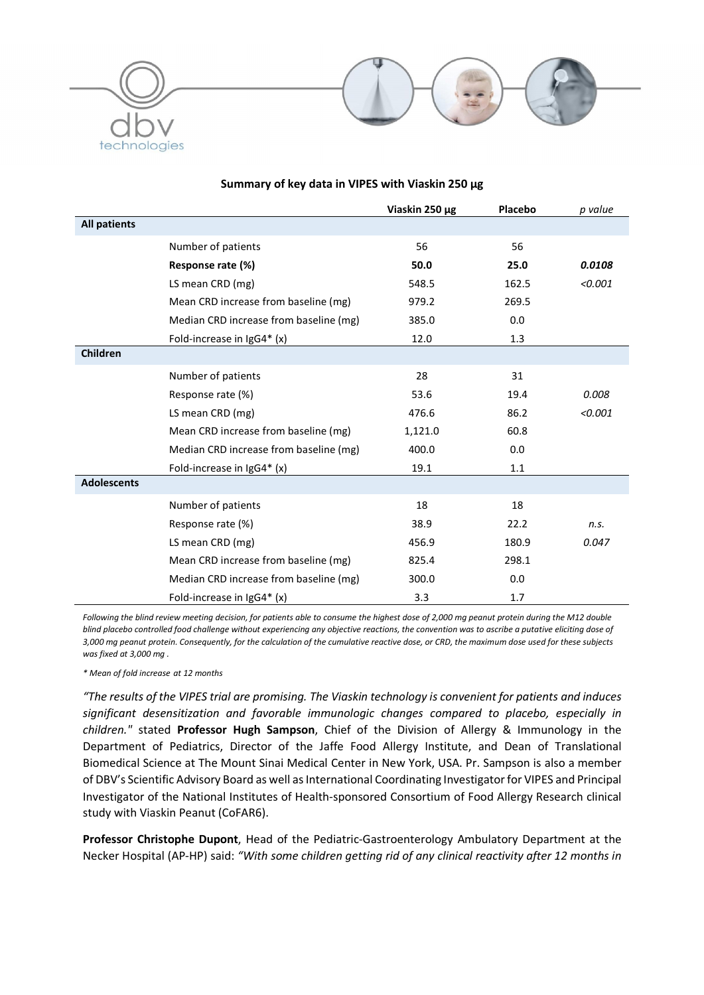



#### Viaskin 250 µg Placebo *p value* All patients Number of patients Response rate (%) LS mean CRD (mg) Mean CRD increase from baseline (mg) Median CRD increase from baseline (mg) Fold-increase in IgG4\* (x) 56 50.0 548.5 979.2 385.0 12.0 56 25.0 162.5 269.5 0.0 1.3 *0.0108 <0.001* Children Number of patients Response rate (%) LS mean CRD (mg) Mean CRD increase from baseline (mg) Median CRD increase from baseline (mg) Fold-increase in IgG4\* (x) 28 53.6 476.6 1,121.0 400.0 19.1 31 19.4 86.2 60.8 0.0 1.1 *0.008 <0.001* Adolescents Number of patients Response rate (%) LS mean CRD (mg) Mean CRD increase from baseline (mg) Median CRD increase from baseline (mg) Fold-increase in IgG4\* (x) 18 38.9 456.9 825.4 300.0 3.3 18 22.2 180.9 298.1 0.0 1.7 *n.s. 0.047*

# Summary of key data in VIPES with Viaskin 250 µg

*Following the blind review meeting decision, for patients able to consume the highest dose of 2,000 mg peanut protein during the M12 double blind placebo controlled food challenge without experiencing any objective reactions, the convention was to ascribe a putative eliciting dose of 3,000 mg peanut protein. Consequently, for the calculation of the cumulative reactive dose, or CRD, the maximum dose used for these subjects was fixed at 3,000 mg .*

*\* Mean of fold increase at 12 months*

*"The results of the VIPES trial are promising. The Viaskin technology is convenient for patients and induces significant desensitization and favorable immunologic changes compared to placebo, especially in children."* stated Professor Hugh Sampson, Chief of the Division of Allergy & Immunology in the Department of Pediatrics, Director of the Jaffe Food Allergy Institute, and Dean of Translational Biomedical Science at The Mount Sinai Medical Center in New York, USA. Pr. Sampson is also a member of DBV's Scientific Advisory Board as well as International Coordinating Investigator for VIPES and Principal Investigator of the National Institutes of Health-sponsored Consortium of Food Allergy Research clinical study with Viaskin Peanut (CoFAR6).

Professor Christophe Dupont, Head of the Pediatric-Gastroenterology Ambulatory Department at the Necker Hospital (AP-HP) said: *"With some children getting rid of any clinical reactivity after 12 months in*